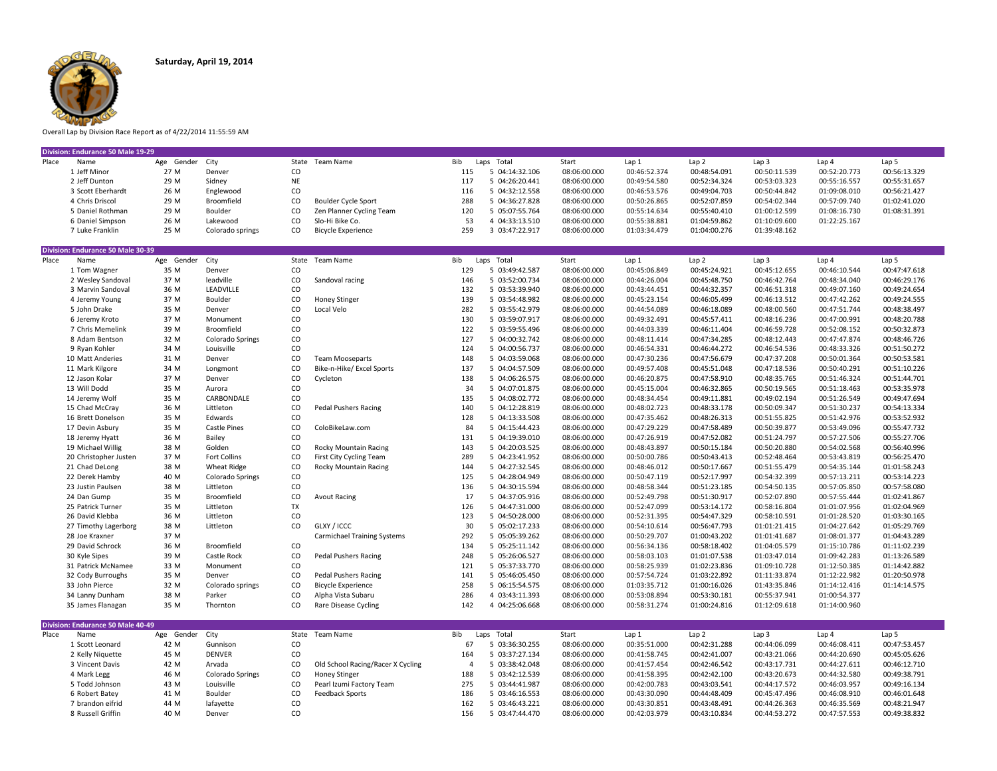

Overall Lap by Division Race Report as of 4/22/2014 11:55:59 AM

|       | Division: Endurance 50 Male 19-29 |                 |                  |     |                           |     |  |                |              |              |              |              |              |              |
|-------|-----------------------------------|-----------------|------------------|-----|---------------------------|-----|--|----------------|--------------|--------------|--------------|--------------|--------------|--------------|
| Place | Name                              | Age Gender City |                  |     | State Team Name           | Bib |  | Laps Total     | Start        | Lap 1        | Lap 2        | Lap 3        | Lap 4        | Lap 5        |
|       | Jeff Minor                        | 27 M            | Denver           | CO  |                           | 115 |  | 5 04:14:32.106 | 08:06:00.000 | 00:46:52.374 | 00:48:54.091 | 00:50:11.539 | 00:52:20.773 | 00:56:13.329 |
|       | 2 Jeff Dunton                     | 29 M            | Sidney           | NE  |                           | 117 |  | 5 04:26:20.441 | 08:06:00.000 | 00:49:54.580 | 00:52:34.324 | 00:53:03.323 | 00:55:16.557 | 00:55:31.657 |
|       | 3 Scott Eberhardt                 | 26 M            | Englewood        | CO  |                           | 116 |  | 5 04:32:12.558 | 08:06:00.000 | 00:46:53.576 | 00:49:04.703 | 00:50:44.842 | 01:09:08.010 | 00:56:21.427 |
|       | 4 Chris Driscol                   | 29 M            | Broomfield       | CO. | Boulder Cycle Sport       | 288 |  | 5 04:36:27.828 | 08:06:00.000 | 00:50:26.865 | 00:52:07.859 | 00:54:02.344 | 00:57:09.740 | 01:02:41.020 |
|       | 5 Daniel Rothman                  | 29 M            | Boulder          | CO. | Zen Planner Cycling Team  | 120 |  | 5 05:07:55.764 | 08:06:00.000 | 00:55:14.634 | 00:55:40.410 | 01:00:12.599 | 01:08:16.730 | 01:08:31.391 |
|       | 6 Daniel Simpson                  | 26 M            | Lakewood         | CO. | Slo-Hi Bike Co.           | 53  |  | 4 04:33:13.510 | 08:06:00.000 | 00:55:38.881 | 01:04:59.862 | 01:10:09.600 | 01:22:25.167 |              |
|       | 7 Luke Franklin                   | 25 M            | Colorado springs | CO. | <b>Bicycle Experience</b> | 259 |  | 3 03:47:22.917 | 08:06:00.000 | 01:03:34.479 | 01:04:00.276 | 01:39:48.162 |              |              |
|       | Division: Endurance 50 Male 30-39 |                 |                  |     |                           |     |  |                |              |              |              |              |              |              |

|       | Division: Endurance 50 Male 30-39 |            |                    |       |                                    |     |                |              |              |              |                  |                  |                  |
|-------|-----------------------------------|------------|--------------------|-------|------------------------------------|-----|----------------|--------------|--------------|--------------|------------------|------------------|------------------|
| Place | Name                              | Age Gender | City               |       | State Team Name                    | Bib | Laps Total     | Start        | Lap 1        | Lap 2        | Lap <sub>3</sub> | Lap <sub>4</sub> | Lap 5            |
|       | 1 Tom Wagner                      | 35 M       | Denver             | CO    |                                    | 129 | 5 03:49:42.587 | 08:06:00.000 | 00:45:06.849 | 00:45:24.921 | 00:45:12.655     | 00:46:10.544     | 00:47:47.618     |
|       | 2 Wesley Sandoval                 | 37 M       | leadville          | CO    | Sandoval racing                    | 146 | 5 03:52:00.734 | 08:06:00.000 | 00:44:26.004 | 00:45:48.750 | 00:46:42.764     | 00:48:34.040     | 00:46:29.176     |
|       | 3 Marvin Sandoval                 | 36 M       | <b>LEADVILLE</b>   | CO    |                                    | 132 | 5 03:53:39.940 | 08:06:00.000 | 00:43:44.451 | 00:44:32.357 | 00:46:51.318     | 00:49:07.160     | 00:49:24.654     |
|       | 4 Jeremy Young                    | 37 M       | Boulder            | CO    | <b>Honey Stinger</b>               | 139 | 5 03:54:48.982 | 08:06:00.000 | 00:45:23.154 | 00:46:05.499 | 00:46:13.512     | 00:47:42.262     | 00:49:24.555     |
|       | 5 John Drake                      | 35 M       | Denver             | CO    | Local Velo                         | 282 | 5 03:55:42.979 | 08:06:00.000 | 00:44:54.089 | 00:46:18.089 | 00:48:00.560     | 00:47:51.744     | 00:48:38.497     |
|       | 6 Jeremy Kroto                    | 37 M       | Monument           | CO    |                                    | 130 | 5 03:59:07.917 | 08:06:00.000 | 00:49:32.491 | 00:45:57.411 | 00:48:16.236     | 00:47:00.991     | 00:48:20.788     |
|       | 7 Chris Memelink                  | 39 M       | Broomfield         | CO    |                                    | 122 | 5 03:59:55.496 | 08:06:00.000 | 00:44:03.339 | 00:46:11.404 | 00:46:59.728     | 00:52:08.152     | 00:50:32.873     |
|       | 8 Adam Bentson                    | 32 M       | Colorado Springs   | CO    |                                    | 127 | 5 04:00:32.742 | 08:06:00.000 | 00:48:11.414 | 00:47:34.285 | 00:48:12.443     | 00:47:47.874     | 00:48:46.726     |
|       | 9 Ryan Kohler                     | 34 M       | Louisville         | CO    |                                    | 124 | 5 04:00:56.737 | 08:06:00.000 | 00:46:54.331 | 00:46:44.272 | 00:46:54.536     | 00:48:33.326     | 00:51:50.272     |
|       | 10 Matt Anderies                  | 31 M       | Denver             | CO    | <b>Team Mooseparts</b>             | 148 | 5 04:03:59.068 | 08:06:00.000 | 00:47:30.236 | 00:47:56.679 | 00:47:37.208     | 00:50:01.364     | 00:50:53.581     |
|       | 11 Mark Kilgore                   | 34 M       | Longmont           | CO    | Bike-n-Hike/ Excel Sports          | 137 | 5 04:04:57.509 | 08:06:00.000 | 00:49:57.408 | 00:45:51.048 | 00:47:18.536     | 00:50:40.291     | 00:51:10.226     |
|       | 12 Jason Kolar                    | 37 M       | Denver             | CO    | Cvcleton                           | 138 | 5 04:06:26.575 | 08:06:00.000 | 00:46:20.875 | 00:47:58.910 | 00:48:35.765     | 00:51:46.324     | 00:51:44.701     |
|       | 13 Will Dodd                      | 35 M       | Aurora             | CO    |                                    | 34  | 5 04:07:01.875 | 08:06:00.000 | 00:45:15.004 | 00:46:32.865 | 00:50:19.565     | 00:51:18.463     | 00:53:35.978     |
|       | 14 Jeremy Wolf                    | 35 M       | CARBONDALE         | CO    |                                    | 135 | 5 04:08:02.772 | 08:06:00.000 | 00:48:34.454 | 00:49:11.881 | 00:49:02.194     | 00:51:26.549     | 00:49:47.694     |
|       | 15 Chad McCray                    | 36 M       | Littleton          | CO    | <b>Pedal Pushers Racing</b>        | 140 | 5 04:12:28.819 | 08:06:00.000 | 00:48:02.723 | 00:48:33.178 | 00:50:09.347     | 00:51:30.237     | 00:54:13.334     |
|       | 16 Brett Donelson                 | 35 M       | Edwards            | CO    |                                    | 128 | 5 04:13:33.508 | 08:06:00.000 | 00:47:35.462 | 00:48:26.313 | 00:51:55.825     | 00:51:42.976     | 00:53:52.932     |
|       | 17 Devin Asbury                   | 35 M       | Castle Pines       | CO    | ColoBikeLaw.com                    | 84  | 5 04:15:44.423 | 08:06:00.000 | 00:47:29.229 | 00:47:58.489 | 00:50:39.877     | 00:53:49.096     | 00:55:47.732     |
|       | 18 Jeremy Hyatt                   | 36 M       | Bailey             | CO    |                                    | 131 | 5 04:19:39.010 | 08:06:00.000 | 00:47:26.919 | 00:47:52.082 | 00:51:24.797     | 00:57:27.506     | 00:55:27.706     |
|       | 19 Michael Willig                 | 38 M       | Golden             | CO    | Rocky Mountain Racing              | 143 | 5 04:20:03.525 | 08:06:00.000 | 00:48:43.897 | 00:50:15.184 | 00:50:20.880     | 00:54:02.568     | 00:56:40.996     |
|       | 20 Christopher Justen             | 37 M       | Fort Collins       | CO    | First City Cycling Team            | 289 | 5 04:23:41.952 | 08:06:00.000 | 00:50:00.786 | 00:50:43.413 | 00:52:48.464     | 00:53:43.819     | 00:56:25.470     |
|       | 21 Chad DeLong                    | 38 M       | <b>Wheat Ridge</b> | CO    | Rocky Mountain Racing              | 144 | 5 04:27:32.545 | 08:06:00.000 | 00:48:46.012 | 00:50:17.667 | 00:51:55.479     | 00:54:35.144     | 01:01:58.243     |
|       | 22 Derek Hamby                    | 40 M       | Colorado Springs   | CO    |                                    | 125 | 5 04:28:04.949 | 08:06:00.000 | 00:50:47.119 | 00:52:17.997 | 00:54:32.399     | 00:57:13.211     | 00:53:14.223     |
|       | 23 Justin Paulsen                 | 38 M       | Littleton          | CO    |                                    | 136 | 5 04:30:15.594 | 08:06:00.000 | 00:48:58.344 | 00:51:23.185 | 00:54:50.135     | 00:57:05.850     | 00:57:58.080     |
|       | 24 Dan Gump                       | 35 M       | Broomfield         | CO    | <b>Avout Racing</b>                | 17  | 5 04:37:05.916 | 08:06:00.000 | 00:52:49.798 | 00:51:30.917 | 00:52:07.890     | 00:57:55.444     | 01:02:41.867     |
|       | 25 Patrick Turner                 | 35 M       | Littleton          | TX    |                                    | 126 | 5 04:47:31.000 | 08:06:00.000 | 00:52:47.099 | 00:53:14.172 | 00:58:16.804     | 01:01:07.956     | 01:02:04.969     |
|       | 26 David Klebba                   | 36 M       | Littleton          | CO    |                                    | 123 | 5 04:50:28.000 | 08:06:00.000 | 00:52:31.395 | 00:54:47.329 | 00:58:10.591     | 01:01:28.520     | 01:03:30.165     |
|       | 27 Timothy Lagerborg              | 38 M       | Littleton          | CO    | GLXY / ICCC                        | 30  | 5 05:02:17.233 | 08:06:00.000 | 00:54:10.614 | 00:56:47.793 | 01:01:21.415     | 01:04:27.642     | 01:05:29.769     |
|       | 28 Joe Kraxner                    | 37 M       |                    |       | <b>Carmichael Training Systems</b> | 292 | 5 05:05:39.262 | 08:06:00.000 | 00:50:29.707 | 01:00:43.202 | 01:01:41.687     | 01:08:01.377     | 01:04:43.289     |
|       | 29 David Schrock                  | 36 M       | Broomfield         | CO    |                                    | 134 | 5 05:25:11.142 | 08:06:00.000 | 00:56:34.136 | 00:58:18.402 | 01:04:05.579     | 01:15:10.786     | 01:11:02.239     |
|       | 30 Kyle Sipes                     | 39 M       | Castle Rock        | CO    | <b>Pedal Pushers Racing</b>        | 248 | 5 05:26:06.527 | 08:06:00.000 | 00:58:03.103 | 01:01:07.538 | 01:03:47.014     | 01:09:42.283     | 01:13:26.589     |
|       | 31 Patrick McNamee                | 33 M       | Monument           | CO    |                                    | 121 | 5 05:37:33.770 | 08:06:00.000 | 00:58:25.939 | 01:02:23.836 | 01:09:10.728     | 01:12:50.385     | 01:14:42.882     |
|       | 32 Cody Burroughs                 | 35 M       | Denver             | CO    | <b>Pedal Pushers Racing</b>        | 141 | 5 05:46:05.450 | 08:06:00.000 | 00:57:54.724 | 01:03:22.892 | 01:11:33.874     | 01:12:22.982     | 01:20:50.978     |
|       | 33 John Pierce                    | 32 M       | Colorado springs   | CO    | <b>Bicycle Experience</b>          | 258 | 5 06:15:54.575 | 08:06:00.000 | 01:03:35.712 | 01:00:16.026 | 01:43:35.846     | 01:14:12.416     | 01:14:14.575     |
|       | 34 Lanny Dunham                   | 38 M       | Parker             | CO    | Alpha Vista Subaru                 | 286 | 4 03:43:11.393 | 08:06:00.000 | 00:53:08.894 | 00:53:30.181 | 00:55:37.941     | 01:00:54.377     |                  |
|       | 35 James Flanagan                 | 35 M       | Thornton           | CO    | Rare Disease Cycling               | 142 | 4 04:25:06.668 | 08:06:00.000 | 00:58:31.274 | 01:00:24.816 | 01:12:09.618     | 01:14:00.960     |                  |
|       | Division: Endurance 50 Male 40-49 |            |                    |       |                                    |     |                |              |              |              |                  |                  |                  |
| Place | Name                              | Age Gender | City               | State | Team Name                          | Bib | Laps Total     | Start        | Lap 1        | Lap 2        | Lap <sub>3</sub> | Lap <sub>4</sub> | Lap <sub>5</sub> |
|       | 1 Scott Leonard                   | 42 M       | Gunnison           | CO    |                                    | 67  | 5 03:36:30.255 | 08:06:00.000 | 00:35:51.000 | 00:42:31.288 | 00:44:06.099     | 00:46:08.411     | 00:47:53.457     |
|       | 2 Kelly Niquette                  | 45 M       | <b>DENVER</b>      | CO    |                                    | 164 | 5 03:37:27.134 | 08:06:00.000 | 00:41:58.745 | 00:42:41.007 | 00:43:21.066     | 00:44:20.690     | 00:45:05.626     |
|       | 3 Vincent Davis                   | 42 M       | Arvada             | CO    | Old School Racing/Racer X Cycling  | 4   | 5 03:38:42.048 | 08:06:00.000 | 00:41:57.454 | 00:42:46.542 | 00:43:17.731     | 00:44:27.611     | 00:46:12.710     |
|       | 4 Mark Legg                       | 46 M       | Colorado Springs   | CO    | <b>Honey Stinger</b>               | 188 | 5 03:42:12.539 | 08:06:00.000 | 00:41:58.395 | 00:42:42.100 | 00:43:20.673     | 00:44:32.580     | 00:49:38.791     |
|       | 5 Todd Johnson                    | 43 M       | Louisville         | CO    | Pearl Izumi Factory Team           | 275 | 5 03:44:41.987 | 08:06:00.000 | 00:42:00.783 | 00:43:03.541 | 00:44:17.572     | 00:46:03.957     | 00:49:16.134     |
|       | 6 Robert Batey                    | 41 M       | Boulder            | CO    | <b>Feedback Sports</b>             | 186 | 5 03:46:16.553 | 08:06:00.000 | 00:43:30.090 | 00:44:48.409 | 00:45:47.496     | 00:46:08.910     | 00:46:01.648     |
|       | 7 brandon eifrid                  | 44 M       | lafayette          | CO    |                                    | 162 | 5 03:46:43.221 | 08:06:00.000 | 00:43:30.851 | 00:43:48.491 | 00:44:26.363     | 00:46:35.569     | 00:48:21.947     |

8 Russell Griffin 40 M Denver CO CO 169:38.832 CO 156 5 03:47:44.470 08:06:00.000 00:42:03.979 00:43:10.834 00:44:53.272 00:47:57.553 00:49:38.832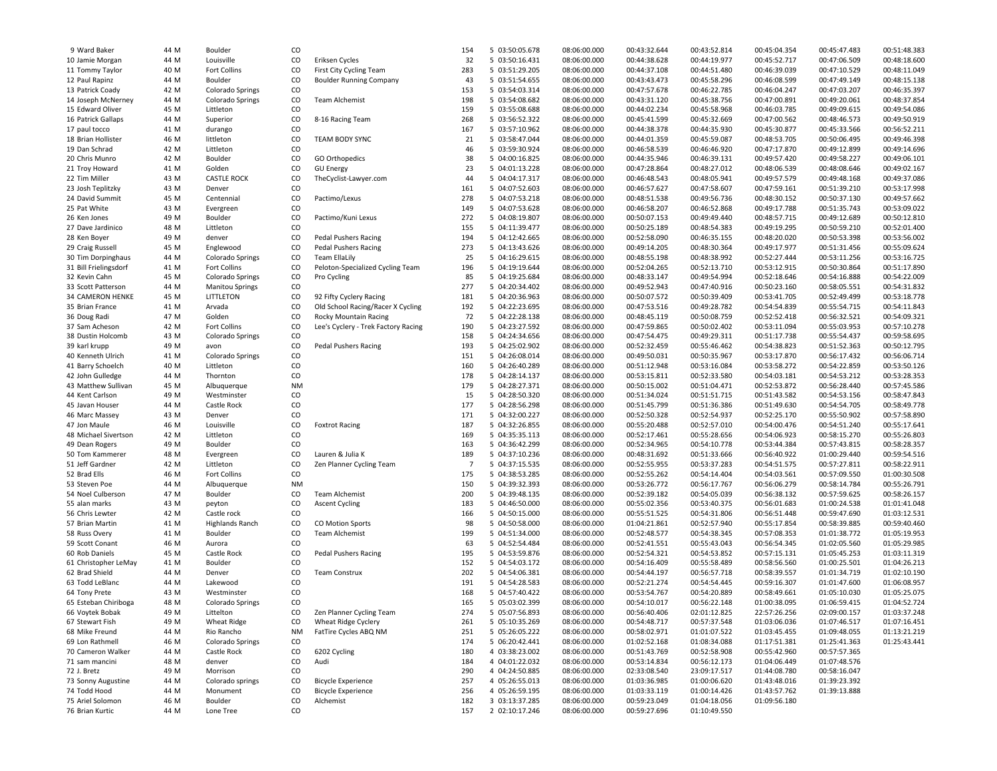| 9 Ward Baker                                  | 44 M | Boulder                             | CO        |                                     | 154            | 5 03:50:05.678 | 08:06:00.000 | 00:43:32.644 | 00:43:52.814 | 00:45:04.354 | 00:45:47.483 | 00:51:48.383 |
|-----------------------------------------------|------|-------------------------------------|-----------|-------------------------------------|----------------|----------------|--------------|--------------|--------------|--------------|--------------|--------------|
| 10 Jamie Morgan                               | 44 M | Louisville                          | CO        | Eriksen Cycles                      | 32             | 5 03:50:16.431 | 08:06:00.000 | 00:44:38.628 | 00:44:19.977 | 00:45:52.717 | 00:47:06.509 | 00:48:18.600 |
| 11 Tommy Taylor                               | 40 M | Fort Collins                        | CO        | First City Cycling Team             | 283            | 5 03:51:29.205 | 08:06:00.000 | 00:44:37.108 | 00:44:51.480 | 00:46:39.039 | 00:47:10.529 | 00:48:11.049 |
| 12 Paul Rapinz                                | 44 M | Boulder                             | CO        | <b>Boulder Running Company</b>      | 43             | 5 03:51:54.655 | 08:06:00.000 | 00:43:43.473 | 00:45:58.296 | 00:46:08.599 | 00:47:49.149 | 00:48:15.138 |
| 13 Patrick Coady                              | 42 M | Colorado Springs                    | CO        |                                     | 153            | 5 03:54:03.314 | 08:06:00.000 | 00:47:57.678 | 00:46:22.785 | 00:46:04.247 | 00:47:03.207 | 00:46:35.397 |
| 14 Joseph McNerney                            | 44 M | Colorado Springs                    | CO        | Team Alchemist                      | 198            | 5 03:54:08.682 | 08:06:00.000 | 00:43:31.120 | 00:45:38.756 | 00:47:00.891 | 00:49:20.061 | 00:48:37.854 |
| 15 Edward Oliver                              | 45 M | Littleton                           | CO        |                                     | 159            | 5 03:55:08.688 | 08:06:00.000 | 00:44:02.234 | 00:45:58.968 | 00:46:03.785 | 00:49:09.615 | 00:49:54.086 |
| 16 Patrick Gallaps                            | 44 M | Superior                            | CO        | 8-16 Racing Team                    | 268            | 5 03:56:52.322 | 08:06:00.000 | 00:45:41.599 | 00:45:32.669 | 00:47:00.562 | 00:48:46.573 | 00:49:50.919 |
| 17 paul tocco                                 | 41 M | durango                             | CO        |                                     | 167            | 5 03:57:10.962 | 08:06:00.000 | 00:44:38.378 | 00:44:35.930 | 00:45:30.877 | 00:45:33.566 | 00:56:52.211 |
| 18 Brian Hollister                            |      |                                     |           |                                     |                |                |              |              |              |              |              |              |
|                                               | 46 M | littleton                           | CO        | <b>TEAM BODY SYNC</b>               | 21             | 5 03:58:47.044 | 08:06:00.000 | 00:44:01.359 | 00:45:59.087 | 00:48:53.705 | 00:50:06.495 | 00:49:46.398 |
| 19 Dan Schrad                                 | 42 M | Littleton                           | CO        |                                     | 46             | 5 03:59:30.924 | 08:06:00.000 | 00:46:58.539 | 00:46:46.920 | 00:47:17.870 | 00:49:12.899 | 00:49:14.696 |
| 20 Chris Munro                                | 42 M | Boulder                             | CO        | GO Orthopedics                      | 38             | 5 04:00:16.825 | 08:06:00.000 | 00:44:35.946 | 00:46:39.131 | 00:49:57.420 | 00:49:58.227 | 00:49:06.101 |
| 21 Troy Howard                                | 41 M | Golden                              | CO        | <b>GU Energy</b>                    | 23             | 5 04:01:13.228 | 08:06:00.000 | 00:47:28.864 | 00:48:27.012 | 00:48:06.539 | 00:48:08.646 | 00:49:02.167 |
| 22 Tim Miller                                 | 43 M | <b>CASTLE ROCK</b>                  | CO        | TheCyclist-Lawyer.com               | 44             | 5 04:04:17.317 | 08:06:00.000 | 00:46:48.543 | 00:48:05.941 | 00:49:57.579 | 00:49:48.168 | 00:49:37.086 |
| 23 Josh Teplitzky                             | 43 M | Denver                              | CO        |                                     | 161            | 5 04:07:52.603 | 08:06:00.000 | 00:46:57.627 | 00:47:58.607 | 00:47:59.161 | 00:51:39.210 | 00:53:17.998 |
| 24 David Summit                               | 45 M | Centennial                          | CO        | Pactimo/Lexus                       | 278            | 5 04:07:53.218 | 08:06:00.000 | 00:48:51.538 | 00:49:56.736 | 00:48:30.152 | 00:50:37.130 | 00:49:57.662 |
| 25 Pat White                                  | 43 M | Evergreen                           | CO        |                                     | 149            | 5 04:07:53.628 | 08:06:00.000 | 00:46:58.207 | 00:46:52.868 | 00:49:17.788 | 00:51:35.743 | 00:53:09.022 |
| 26 Ken Jones                                  | 49 M | Boulder                             | CO        | Pactimo/Kuni Lexus                  | 272            | 5 04:08:19.807 | 08:06:00.000 | 00:50:07.153 | 00:49:49.440 | 00:48:57.715 | 00:49:12.689 | 00:50:12.810 |
| 27 Dave Jardinico                             | 48 M | Littleton                           | CO        |                                     | 155            | 5 04:11:39.477 | 08:06:00.000 | 00:50:25.189 | 00:48:54.383 | 00:49:19.295 | 00:50:59.210 | 00:52:01.400 |
| 28 Ken Boyer                                  | 49 M | denver                              | CO        | <b>Pedal Pushers Racing</b>         | 194            | 5 04:12:42.665 | 08:06:00.000 | 00:52:58.090 | 00:46:35.155 | 00:48:20.020 | 00:50:53.398 | 00:53:56.002 |
| 29 Craig Russell                              | 45 M | Englewood                           | CO        | <b>Pedal Pushers Racing</b>         | 273            | 5 04:13:43.626 | 08:06:00.000 | 00:49:14.205 | 00:48:30.364 | 00:49:17.977 | 00:51:31.456 | 00:55:09.624 |
| 30 Tim Dorpinghaus                            | 44 M | Colorado Springs                    | CO        | <b>Team EllaLily</b>                | 25             | 5 04:16:29.615 | 08:06:00.000 | 00:48:55.198 | 00:48:38.992 | 00:52:27.444 | 00:53:11.256 | 00:53:16.725 |
| 31 Bill Frielingsdorf                         | 41 M | Fort Collins                        | CO        | Peloton-Specialized Cycling Team    | 196            | 5 04:19:19.644 | 08:06:00.000 | 00:52:04.265 | 00:52:13.710 | 00:53:12.915 | 00:50:30.864 | 00:51:17.890 |
| 32 Kevin Cahn                                 | 45 M | Colorado Springs                    | CO        | Pro Cycling                         | 85             | 5 04:19:25.684 | 08:06:00.000 | 00:48:33.147 | 00:49:54.994 | 00:52:18.646 | 00:54:16.888 | 00:54:22.009 |
|                                               | 44 M |                                     | CO        |                                     | 277            | 5 04:20:34.402 |              | 00:49:52.943 | 00:47:40.916 | 00:50:23.160 |              | 00:54:31.832 |
| 33 Scott Patterson<br><b>34 CAMERON HENKE</b> | 45 M | <b>Manitou Springs</b><br>LITTLETON | CO        |                                     | 181            |                | 08:06:00.000 |              | 00:50:39.409 |              | 00:58:05.551 |              |
|                                               |      |                                     |           | 92 Fifty Cyclery Racing             |                | 5 04:20:36.963 | 08:06:00.000 | 00:50:07.572 |              | 00:53:41.705 | 00:52:49.499 | 00:53:18.778 |
| 35 Brian France                               | 41 M | Arvada                              | CO        | Old School Racing/Racer X Cycling   | 192            | 5 04:22:23.695 | 08:06:00.000 | 00:47:53.516 | 00:49:28.782 | 00:54:54.839 | 00:55:54.715 | 00:54:11.843 |
| 36 Doug Radi                                  | 47 M | Golden                              | CO        | Rocky Mountain Racing               | 72             | 5 04:22:28.138 | 08:06:00.000 | 00:48:45.119 | 00:50:08.759 | 00:52:52.418 | 00:56:32.521 | 00:54:09.321 |
| 37 Sam Acheson                                | 42 M | Fort Collins                        | CO        | Lee's Cyclery - Trek Factory Racing | 190            | 5 04:23:27.592 | 08:06:00.000 | 00:47:59.865 | 00:50:02.402 | 00:53:11.094 | 00:55:03.953 | 00:57:10.278 |
| 38 Dustin Holcomb                             | 43 M | Colorado Springs                    | CO        |                                     | 158            | 5 04:24:34.656 | 08:06:00.000 | 00:47:54.475 | 00:49:29.311 | 00:51:17.738 | 00:55:54.437 | 00:59:58.695 |
| 39 karl krupp                                 | 49 M | avon                                | CO        | <b>Pedal Pushers Racing</b>         | 193            | 5 04:25:02.902 | 08:06:00.000 | 00:52:32.459 | 00:55:46.462 | 00:54:38.823 | 00:51:52.363 | 00:50:12.795 |
| 40 Kenneth Ulrich                             | 41 M | <b>Colorado Springs</b>             | CO        |                                     | 151            | 5 04:26:08.014 | 08:06:00.000 | 00:49:50.031 | 00:50:35.967 | 00:53:17.870 | 00:56:17.432 | 00:56:06.714 |
| 41 Barry Schoelch                             | 40 M | Littleton                           | CO        |                                     | 160            | 5 04:26:40.289 | 08:06:00.000 | 00:51:12.948 | 00:53:16.084 | 00:53:58.272 | 00:54:22.859 | 00:53:50.126 |
| 42 John Gulledge                              | 44 M | Thornton                            | CO        |                                     | 178            | 5 04:28:14.137 | 08:06:00.000 | 00:53:15.811 | 00:52:33.580 | 00:54:03.181 | 00:54:53.212 | 00:53:28.353 |
| 43 Matthew Sullivan                           | 45 M | Albuquerque                         | <b>NM</b> |                                     | 179            | 5 04:28:27.371 | 08:06:00.000 | 00:50:15.002 | 00:51:04.471 | 00:52:53.872 | 00:56:28.440 | 00:57:45.586 |
| 44 Kent Carlson                               | 49 M | Westminster                         | CO        |                                     | 15             | 5 04:28:50.320 | 08:06:00.000 | 00:51:34.024 | 00:51:51.715 | 00:51:43.582 | 00:54:53.156 | 00:58:47.843 |
| 45 Javan Houser                               | 44 M | Castle Rock                         | CO        |                                     | 177            | 5 04:28:56.298 | 08:06:00.000 | 00:51:45.799 | 00:51:36.386 | 00:51:49.630 | 00:54:54.705 | 00:58:49.778 |
| 46 Marc Massey                                | 43 M | Denver                              | CO        |                                     | 171            | 5 04:32:00.227 | 08:06:00.000 | 00:52:50.328 | 00:52:54.937 | 00:52:25.170 | 00:55:50.902 | 00:57:58.890 |
| 47 Jon Maule                                  | 46 M | Louisville                          | CO        | <b>Foxtrot Racing</b>               | 187            | 5 04:32:26.855 | 08:06:00.000 | 00:55:20.488 | 00:52:57.010 | 00:54:00.476 | 00:54:51.240 | 00:55:17.641 |
| 48 Michael Sivertson                          | 42 M | Littleton                           | CO        |                                     | 169            | 5 04:35:35.113 | 08:06:00.000 | 00:52:17.461 | 00:55:28.656 | 00:54:06.923 | 00:58:15.270 | 00:55:26.803 |
| 49 Dean Rogers                                | 49 M | Boulder                             | CO        |                                     | 163            | 5 04:36:42.299 | 08:06:00.000 | 00:52:34.965 | 00:54:10.778 | 00:53:44.384 | 00:57:43.815 | 00:58:28.357 |
| 50 Tom Kammerer                               | 48 M | Evergreen                           | CO        | Lauren & Julia K                    | 189            | 5 04:37:10.236 | 08:06:00.000 | 00:48:31.692 | 00:51:33.666 | 00:56:40.922 | 01:00:29.440 | 00:59:54.516 |
| 51 Jeff Gardner                               | 42 M | Littleton                           | CO        | Zen Planner Cycling Team            | $\overline{7}$ | 5 04:37:15.535 | 08:06:00.000 | 00:52:55.955 | 00:53:37.283 | 00:54:51.575 | 00:57:27.811 | 00:58:22.911 |
| 52 Brad Ells                                  | 46 M | Fort Collins                        | CO        |                                     | 175            | 5 04:38:53.285 | 08:06:00.000 | 00:52:55.262 | 00:54:14.404 | 00:54:03.561 | 00:57:09.550 | 01:00:30.508 |
|                                               | 44 M |                                     | <b>NM</b> |                                     | 150            |                |              |              | 00:56:17.767 |              |              |              |
| 53 Steven Poe                                 |      | Albuquerque                         |           |                                     |                | 5 04:39:32.393 | 08:06:00.000 | 00:53:26.772 |              | 00:56:06.279 | 00:58:14.784 | 00:55:26.791 |
| 54 Noel Culberson                             | 47 M | Boulder                             | CO        | Team Alchemist                      | 200            | 5 04:39:48.135 | 08:06:00.000 | 00:52:39.182 | 00:54:05.039 | 00:56:38.132 | 00:57:59.625 | 00:58:26.157 |
| 55 alan marks                                 | 43 M | peyton                              | CO        | <b>Ascent Cycling</b>               | 183            | 5 04:46:50.000 | 08:06:00.000 | 00:55:02.356 | 00:53:40.375 | 00:56:01.683 | 01:00:24.538 | 01:01:41.048 |
| 56 Chris Lewter                               | 42 M | Castle rock                         | CO        |                                     | 166            | 5 04:50:15.000 | 08:06:00.000 | 00:55:51.525 | 00:54:31.806 | 00:56:51.448 | 00:59:47.690 | 01:03:12.531 |
| 57 Brian Martin                               | 41 M | <b>Highlands Ranch</b>              | CO        | <b>CO Motion Sports</b>             | 98             | 5 04:50:58.000 | 08:06:00.000 | 01:04:21.861 | 00:52:57.940 | 00:55:17.854 | 00:58:39.885 | 00:59:40.460 |
| 58 Russ Overy                                 | 41 M | Boulder                             | CO        | Team Alchemist                      | 199            | 5 04:51:34.000 | 08:06:00.000 | 00:52:48.577 | 00:54:38.345 | 00:57:08.353 | 01:01:38.772 | 01:05:19.953 |
| 59 Scott Conant                               | 46 M | Aurora                              | CO        |                                     | 63             | 5 04:52:54.484 | 08:06:00.000 | 00:52:41.551 | 00:55:43.043 | 00:56:54.345 | 01:02:05.560 | 01:05:29.985 |
| 60 Rob Daniels                                | 45 M | Castle Rock                         | CO        | <b>Pedal Pushers Racing</b>         | 195            | 5 04:53:59.876 | 08:06:00.000 | 00:52:54.321 | 00:54:53.852 | 00:57:15.131 | 01:05:45.253 | 01:03:11.319 |
| 61 Christopher LeMay                          | 41 M | Boulder                             | CO        |                                     | 152            | 5 04:54:03.172 | 08:06:00.000 | 00:54:16.409 | 00:55:58.489 | 00:58:56.560 | 01:00:25.501 | 01:04:26.213 |
| 62 Brad Shield                                | 44 M | Denver                              | CO        | <b>Team Construx</b>                | 202            | 5 04:54:06.381 | 08:06:00.000 | 00:54:44.197 | 00:56:57.718 | 00:58:39.557 | 01:01:34.719 | 01:02:10.190 |
| 63 Todd LeBlanc                               | 44 M | Lakewood                            | CO        |                                     | 191            | 5 04:54:28.583 | 08:06:00.000 | 00:52:21.274 | 00:54:54.445 | 00:59:16.307 | 01:01:47.600 | 01:06:08.957 |
| 64 Tony Prete                                 | 43 M | Westminster                         | CO        |                                     | 168            | 5 04:57:40.422 | 08:06:00.000 | 00:53:54.767 | 00:54:20.889 | 00:58:49.661 | 01:05:10.030 | 01:05:25.075 |
| 65 Esteban Chiriboga                          | 48 M | <b>Colorado Springs</b>             | CO        |                                     | 165            | 5 05:03:02.399 | 08:06:00.000 | 00:54:10.017 | 00:56:22.148 | 01:00:38.095 | 01:06:59.415 | 01:04:52.724 |
| 66 Voytek Bobak                               | 49 M | Littelton                           | CO        | Zen Planner Cycling Team            | 274            | 5 05:07:56.893 | 08:06:00.000 | 00:56:40.406 | 02:01:12.825 | 22:57:26.256 | 02:09:00.157 | 01:03:37.248 |
| 67 Stewart Fish                               | 49 M | Wheat Ridge                         | CO        | Wheat Ridge Cyclery                 | 261            | 5 05:10:35.269 | 08:06:00.000 | 00:54:48.717 | 00:57:37.548 | 01:03:06.036 | 01:07:46.517 | 01:07:16.451 |
| 68 Mike Freund                                |      |                                     |           |                                     |                |                |              |              |              |              |              | 01:13:21.219 |
|                                               | 44 M | Rio Rancho                          | NM        | FatTire Cycles ABQ NM               | 251            | 5 05:26:05.222 | 08:06:00.000 | 00:58:02.971 | 01:01:07.522 | 01:03:45.455 | 01:09:48.055 | 01:25:43.441 |
| 69 Lon Rathmell                               | 46 M | Colorado Springs                    | CO        |                                     | 174            | 5 06:20:42.441 | 08:06:00.000 | 01:02:52.168 | 01:08:34.088 | 01:17:51.381 | 01:25:41.363 |              |
| 70 Cameron Walker                             | 44 M | Castle Rock                         | CO        | 6202 Cycling                        | 180            | 4 03:38:23.002 | 08:06:00.000 | 00:51:43.769 | 00:52:58.908 | 00:55:42.960 | 00:57:57.365 |              |
| 71 sam mancini                                | 48 M | denver                              | CO        | Audi                                | 184            | 4 04:01:22.032 | 08:06:00.000 | 00:53:14.834 | 00:56:12.173 | 01:04:06.449 | 01:07:48.576 |              |
| 72 J. Bretz                                   | 49 M | Morrison                            | CO        |                                     | 290            | 4 04:24:50.885 | 08:06:00.000 | 02:33:08.540 | 23:09:17.517 | 01:44:08.780 | 00:58:16.047 |              |
| 73 Sonny Augustine                            | 44 M | Colorado springs                    | CO        | <b>Bicycle Experience</b>           | 257            | 4 05:26:55.013 | 08:06:00.000 | 01:03:36.985 | 01:00:06.620 | 01:43:48.016 | 01:39:23.392 |              |
| 74 Todd Hood                                  | 44 M | Monument                            | CO        | <b>Bicycle Experience</b>           | 256            | 4 05:26:59.195 | 08:06:00.000 | 01:03:33.119 | 01:00:14.426 | 01:43:57.762 | 01:39:13.888 |              |
| 75 Ariel Solomon                              | 46 M | Boulder                             | CO        | Alchemist                           | 182            | 3 03:13:37.285 | 08:06:00.000 | 00:59:23.049 | 01:04:18.056 | 01:09:56.180 |              |              |
| 76 Brian Kurtic                               | 44 M | Lone Tree                           | CO        |                                     | 157            | 2 02:10:17.246 | 08:06:00.000 | 00:59:27.696 | 01:10:49.550 |              |              |              |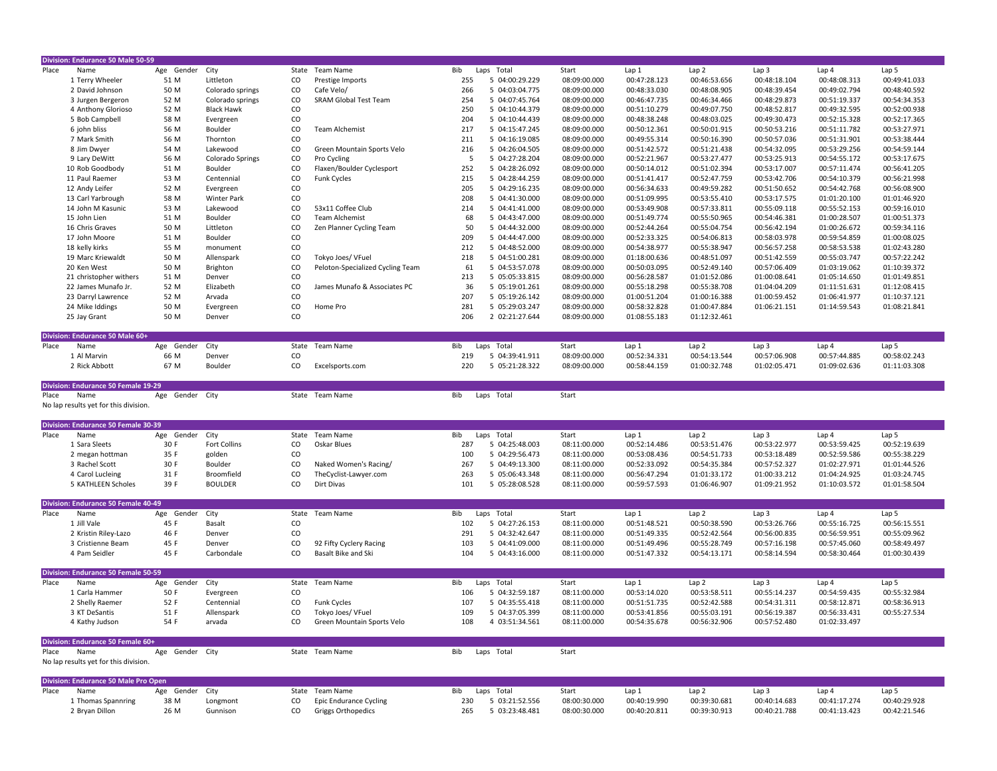|       | Division: Endurance 50 Male 50-59                   |                    |                   |                 |                                                     |     |                |              |              |                  |                  |              |                  |
|-------|-----------------------------------------------------|--------------------|-------------------|-----------------|-----------------------------------------------------|-----|----------------|--------------|--------------|------------------|------------------|--------------|------------------|
| Place | Name                                                | Age Gender         | City              | State           | Team Name                                           | Bib | Laps Total     | Start        | Lap 1        | Lap <sub>2</sub> | Lap <sub>3</sub> | Lap 4        | Lap 5            |
|       | 1 Terry Wheeler                                     | 51 M               | Littleton         | CO              | Prestige Imports                                    | 255 | 5 04:00:29.229 | 08:09:00.000 | 00:47:28.123 | 00:46:53.656     | 00:48:18.104     | 00:48:08.313 | 00:49:41.033     |
|       | 2 David Johnson                                     | 50 M               | Colorado springs  | $\mathsf{co}\,$ | Cafe Velo/                                          | 266 | 5 04:03:04.775 | 08:09:00.000 | 00:48:33.030 | 00:48:08.905     | 00:48:39.454     | 00:49:02.794 | 00:48:40.592     |
|       | 3 Jurgen Bergeron                                   | 52 M               | Colorado springs  | $\mathsf{co}\,$ | <b>SRAM Global Test Team</b>                        | 254 | 5 04:07:45.764 | 08:09:00.000 | 00:46:47.735 | 00:46:34.466     | 00:48:29.873     | 00:51:19.337 | 00:54:34.353     |
|       | 4 Anthony Glorioso                                  | 52 M               | <b>Black Hawk</b> | CO              |                                                     | 250 | 5 04:10:44.379 | 08:09:00.000 | 00:51:10.279 | 00:49:07.750     | 00:48:52.817     | 00:49:32.595 | 00:52:00.938     |
|       |                                                     |                    |                   |                 |                                                     |     |                |              |              |                  |                  |              |                  |
|       | 5 Bob Campbell                                      | 58 M               | Evergreen         | $\mathsf{co}\,$ |                                                     | 204 | 5 04:10:44.439 | 08:09:00.000 | 00:48:38.248 | 00:48:03.025     | 00:49:30.473     | 00:52:15.328 | 00:52:17.365     |
|       | 6 john bliss                                        | 56 M               | Boulder           | $\rm{CO}$       | <b>Team Alchemist</b>                               | 217 | 5 04:15:47.245 | 08:09:00.000 | 00:50:12.361 | 00:50:01.915     | 00:50:53.216     | 00:51:11.782 | 00:53:27.971     |
|       | 7 Mark Smith                                        | 56 M               | Thornton          | $\rm CO$        |                                                     | 211 | 5 04:16:19.085 | 08:09:00.000 | 00:49:55.314 | 00:50:16.390     | 00:50:57.036     | 00:51:31.901 | 00:53:38.444     |
|       | 8 Jim Dwyer                                         | 54 M               | Lakewood          | $\rm{CO}$       | Green Mountain Sports Velo                          | 216 | 5 04:26:04.505 | 08:09:00.000 | 00:51:42.572 | 00:51:21.438     | 00:54:32.095     | 00:53:29.256 | 00:54:59.144     |
|       | 9 Lary DeWitt                                       | 56 M               | Colorado Springs  | $\mathsf{co}\,$ | Pro Cycling                                         | 5   | 5 04:27:28.204 | 08:09:00.000 | 00:52:21.967 | 00:53:27.477     | 00:53:25.913     | 00:54:55.172 | 00:53:17.675     |
|       | 10 Rob Goodbody                                     | 51 M               | Boulder           | $\mathsf{co}\,$ | Flaxen/Boulder Cyclesport                           | 252 | 5 04:28:26.092 | 08:09:00.000 | 00:50:14.012 | 00:51:02.394     | 00:53:17.007     | 00:57:11.474 | 00:56:41.205     |
|       | 11 Paul Raemer                                      | 53 M               | Centennial        | $\rm CO$        | <b>Funk Cycles</b>                                  | 215 | 5 04:28:44.259 | 08:09:00.000 | 00:51:41.417 | 00:52:47.759     | 00:53:42.706     | 00:54:10.379 | 00:56:21.998     |
|       | 12 Andy Leifer                                      | 52 M               | Evergreen         | $\rm{CO}$       |                                                     | 205 | 5 04:29:16.235 | 08:09:00.000 | 00:56:34.633 | 00:49:59.282     | 00:51:50.652     | 00:54:42.768 | 00:56:08.900     |
|       | 13 Carl Yarbrough                                   | 58 M               | Winter Park       | $\rm{co}$       |                                                     | 208 | 5 04:41:30.000 | 08:09:00.000 | 00:51:09.995 | 00:53:55.410     | 00:53:17.575     | 01:01:20.100 | 01:01:46.920     |
|       | 14 John M Kasunic                                   | 53 M               | Lakewood          | CO              | 53x11 Coffee Club                                   | 214 | 5 04:41:41.000 | 08:09:00.000 | 00:53:49.908 | 00:57:33.811     | 00:55:09.118     | 00:55:52.153 | 00:59:16.010     |
|       | 15 John Lien                                        | 51 M               | Boulder           | $\rm CO$        | <b>Team Alchemist</b>                               | 68  | 5 04:43:47.000 | 08:09:00.000 | 00:51:49.774 | 00:55:50.965     | 00:54:46.381     | 01:00:28.507 | 01:00:51.373     |
|       | 16 Chris Graves                                     | 50 M               | Littleton         | CO              | Zen Planner Cycling Team                            | 50  | 5 04:44:32.000 | 08:09:00.000 | 00:52:44.264 | 00:55:04.754     | 00:56:42.194     | 01:00:26.672 | 00:59:34.116     |
|       |                                                     | 51 M               |                   | $\mathsf{co}\,$ |                                                     | 209 |                |              |              |                  |                  |              |                  |
|       | 17 John Moore                                       |                    | Boulder           |                 |                                                     |     | 5 04:44:47.000 | 08:09:00.000 | 00:52:33.325 | 00:54:06.813     | 00:58:03.978     | 00:59:54.859 | 01:00:08.025     |
|       | 18 kelly kirks                                      | 55 M               | monument          | $\mathsf{co}\,$ |                                                     | 212 | 5 04:48:52.000 | 08:09:00.000 | 00:54:38.977 | 00:55:38.947     | 00:56:57.258     | 00:58:53.538 | 01:02:43.280     |
|       | 19 Marc Kriewaldt                                   | 50 M               | Allenspark        | $\rm CO$        | Tokyo Joes/ VFuel                                   | 218 | 5 04:51:00.281 | 08:09:00.000 | 01:18:00.636 | 00:48:51.097     | 00:51:42.559     | 00:55:03.747 | 00:57:22.242     |
|       | 20 Ken West                                         | 50 M               | Brighton          | $\rm{CO}$       | Peloton-Specialized Cycling Team                    | 61  | 5 04:53:57.078 | 08:09:00.000 | 00:50:03.095 | 00:52:49.140     | 00:57:06.409     | 01:03:19.062 | 01:10:39.372     |
|       | 21 christopher withers                              | 51 M               | Denver            | $\rm{CO}$       |                                                     | 213 | 5 05:05:33.815 | 08:09:00.000 | 00:56:28.587 | 01:01:52.086     | 01:00:08.641     | 01:05:14.650 | 01:01:49.851     |
|       | 22 James Munafo Jr.                                 | 52 M               | Elizabeth         | $\rm{CO}$       | James Munafo & Associates PC                        | 36  | 5 05:19:01.261 | 08:09:00.000 | 00:55:18.298 | 00:55:38.708     | 01:04:04.209     | 01:11:51.631 | 01:12:08.415     |
|       | 23 Darryl Lawrence                                  | 52 M               | Arvada            | $\rm{CO}$       |                                                     | 207 | 5 05:19:26.142 | 08:09:00.000 | 01:00:51.204 | 01:00:16.388     | 01:00:59.452     | 01:06:41.977 | 01:10:37.121     |
|       | 24 Mike Iddings                                     | 50 M               | Evergreen         | $\rm{CO}$       | Home Pro                                            | 281 | 5 05:29:03.247 | 08:09:00.000 | 00:58:32.828 | 01:00:47.884     | 01:06:21.151     | 01:14:59.543 | 01:08:21.841     |
|       | 25 Jay Grant                                        | 50 M               | Denver            | $\mathsf{co}\,$ |                                                     | 206 | 2 02:21:27.644 | 08:09:00.000 | 01:08:55.183 | 01:12:32.461     |                  |              |                  |
|       |                                                     |                    |                   |                 |                                                     |     |                |              |              |                  |                  |              |                  |
|       | Division: Endurance 50 Male 60+                     |                    |                   |                 |                                                     |     |                |              |              |                  |                  |              |                  |
| Place | Name                                                | Gender<br>Age      | City              | State           | Team Name                                           | Bib | Laps Total     | Start        | Lap 1        | Lap <sub>2</sub> | Lap <sub>3</sub> | Lap 4        | Lap 5            |
|       |                                                     | 66 M               |                   | $\rm CO$        |                                                     | 219 |                |              | 00:52:34.331 | 00:54:13.544     |                  | 00:57:44.885 | 00:58:02.243     |
|       | 1 Al Marvin                                         |                    | Denver            |                 |                                                     |     | 5 04:39:41.911 | 08:09:00.000 |              |                  | 00:57:06.908     |              |                  |
|       | 2 Rick Abbott                                       | 67 M               | Boulder           | $\rm CO$        | Excelsports.com                                     | 220 | 5 05:21:28.322 | 08:09:00.000 | 00:58:44.159 | 01:00:32.748     | 01:02:05.471     | 01:09:02.636 | 01:11:03.308     |
|       |                                                     |                    |                   |                 |                                                     |     |                |              |              |                  |                  |              |                  |
|       |                                                     |                    |                   |                 |                                                     |     |                |              |              |                  |                  |              |                  |
|       | <b>Division: Endurance 50 Female 19-29</b>          |                    |                   |                 |                                                     |     |                |              |              |                  |                  |              |                  |
| Place | Name                                                | Age Gender City    |                   |                 | State Team Name                                     | Bib | Laps Total     | Start        |              |                  |                  |              |                  |
|       | No lap results yet for this division.               |                    |                   |                 |                                                     |     |                |              |              |                  |                  |              |                  |
|       |                                                     |                    |                   |                 |                                                     |     |                |              |              |                  |                  |              |                  |
|       | Division: Endurance 50 Female 30-39                 |                    |                   |                 |                                                     |     |                |              |              |                  |                  |              |                  |
| Place | Name                                                | Gender<br>Age      |                   |                 | State Team Name                                     | Bib | Laps Total     | Start        | Lap1         | Lap <sub>2</sub> | Lap <sub>3</sub> | Lap 4        | Lap <sub>5</sub> |
|       |                                                     |                    | City              |                 |                                                     |     |                |              |              |                  |                  |              |                  |
|       | 1 Sara Sleets                                       | 30 F               | Fort Collins      | $\mathsf{co}\,$ | Oskar Blues                                         | 287 | 5 04:25:48.003 | 08:11:00.000 | 00:52:14.486 | 00:53:51.476     | 00:53:22.977     | 00:53:59.425 | 00:52:19.639     |
|       | 2 megan hottman                                     | 35 F               | golden            | $\rm{CO}$       |                                                     | 100 | 5 04:29:56.473 | 08:11:00.000 | 00:53:08.436 | 00:54:51.733     | 00:53:18.489     | 00:52:59.586 | 00:55:38.229     |
|       | 3 Rachel Scott                                      | 30 F               | Boulder           | $\rm CO$        | Naked Women's Racing/                               | 267 | 5 04:49:13.300 | 08:11:00.000 | 00:52:33.092 | 00:54:35.384     | 00:57:52.327     | 01:02:27.971 | 01:01:44.526     |
|       | 4 Carol Lucleing                                    | 31 F               | Broomfield        | $\rm{CO}$       | TheCyclist-Lawyer.com                               | 263 | 5 05:06:43.348 | 08:11:00.000 | 00:56:47.294 | 01:01:33.172     | 01:00:33.212     | 01:04:24.925 | 01:03:24.745     |
|       | 5 KATHLEEN Scholes                                  | 39 F               | <b>BOULDER</b>    | $\mathsf{co}\,$ | Dirt Divas                                          | 101 | 5 05:28:08.528 | 08:11:00.000 | 00:59:57.593 | 01:06:46.907     | 01:09:21.952     | 01:10:03.572 | 01:01:58.504     |
|       |                                                     |                    |                   |                 |                                                     |     |                |              |              |                  |                  |              |                  |
|       | Division: Endurance 50 Female 40-49                 |                    |                   |                 |                                                     |     |                |              |              |                  |                  |              |                  |
| Place | Name                                                | Age<br>Gender      | City              |                 | State Team Name                                     | Bib | Laps Total     | Start        | Lap 1        | Lap <sub>2</sub> | Lap 3            | Lap 4        | Lap 5            |
|       | 1 Jill Vale                                         | 45 F               | Basalt            | CO              |                                                     | 102 | 5 04:27:26.153 | 08:11:00.000 | 00:51:48.521 | 00:50:38.590     | 00:53:26.766     | 00:55:16.725 | 00:56:15.551     |
|       | 2 Kristin Riley-Lazo                                | 46 F               | Denver            | $\rm{CO}$       |                                                     | 291 | 5 04:32:42.647 | 08:11:00.000 | 00:51:49.335 | 00:52:42.564     | 00:56:00.835     | 00:56:59.951 | 00:55:09.962     |
|       | 3 Cristienne Beam                                   | 45 F               | Denver            | $\rm{CO}$       | 92 Fifty Cyclery Racing                             | 103 | 5 04:41:09.000 | 08:11:00.000 | 00:51:49.496 | 00:55:28.749     | 00:57:16.198     | 00:57:45.060 | 00:58:49.497     |
|       | 4 Pam Seidler                                       | 45 F               | Carbondale        | CO              | Basalt Bike and Ski                                 | 104 | 5 04:43:16.000 | 08:11:00.000 | 00:51:47.332 | 00:54:13.171     | 00:58:14.594     | 00:58:30.464 | 01:00:30.439     |
|       |                                                     |                    |                   |                 |                                                     |     |                |              |              |                  |                  |              |                  |
|       |                                                     |                    |                   |                 |                                                     |     |                |              |              |                  |                  |              |                  |
|       | Division: Endurance 50 Female 50-59                 |                    |                   |                 |                                                     |     |                |              |              |                  |                  |              |                  |
| Place | Name                                                | Gender<br>Age      | City              | State           | Team Name                                           | Bib | Laps Total     | Start        | Lap1         | Lap <sub>2</sub> | Lap 3            | Lap 4        | Lap <sub>5</sub> |
|       | 1 Carla Hammer                                      | 50 F               | Evergreen         | $\rm{CO}$       |                                                     | 106 | 5 04:32:59.187 | 08:11:00.000 | 00:53:14.020 | 00:53:58.511     | 00:55:14.237     | 00:54:59.435 | 00:55:32.984     |
|       | 2 Shelly Raemer                                     | 52 F               | Centennial        | $\rm CO$        | <b>Funk Cycles</b>                                  | 107 | 5 04:35:55.418 | 08:11:00.000 | 00:51:51.735 | 00:52:42.588     | 00:54:31.311     | 00:58:12.871 | 00:58:36.913     |
|       | 3 KT DeSantis                                       | 51 F               | Allenspark        | CO              | Tokyo Joes/ VFuel                                   | 109 | 5 04:37:05.399 | 08:11:00.000 | 00:53:41.856 | 00:55:03.191     | 00:56:19.387     | 00:56:33.431 | 00:55:27.534     |
|       | 4 Kathy Judson                                      | 54 F               | arvada            | $\mathsf{co}\,$ | Green Mountain Sports Velo                          | 108 | 4 03:51:34.561 | 08:11:00.000 | 00:54:35.678 | 00:56:32.906     | 00:57:52.480     | 01:02:33.497 |                  |
|       |                                                     |                    |                   |                 |                                                     |     |                |              |              |                  |                  |              |                  |
|       | Division: Endurance 50 Female 60+                   |                    |                   |                 |                                                     |     |                |              |              |                  |                  |              |                  |
| Place | Name                                                | Gender City<br>Age |                   |                 | State Team Name                                     | Bib | Laps Total     | Start        |              |                  |                  |              |                  |
|       | No lap results yet for this division.               |                    |                   |                 |                                                     |     |                |              |              |                  |                  |              |                  |
|       |                                                     |                    |                   |                 |                                                     |     |                |              |              |                  |                  |              |                  |
|       |                                                     |                    |                   |                 |                                                     |     |                |              |              |                  |                  |              |                  |
| Place | <b>Division: Endurance 50 Male Pro Open</b><br>Name | Age<br>Gender      | City              | State           | <b>Team Name</b>                                    | Bib | Laps Total     | Start        | Lap 1        | Lap <sub>2</sub> | Lap <sub>3</sub> | Lap 4        | Lap 5            |
|       |                                                     | 38 M               | Longmont          | $\rm{CO}$       |                                                     | 230 | 5 03:21:52.556 | 08:00:30.000 | 00:40:19.990 | 00:39:30.681     | 00:40:14.683     | 00:41:17.274 | 00:40:29.928     |
|       | 1 Thomas Spannring<br>2 Bryan Dillon                | 26 M               | Gunnison          | $\mathsf{co}\,$ | Epic Endurance Cycling<br><b>Griggs Orthopedics</b> | 265 | 5 03:23:48.481 | 08:00:30.000 | 00:40:20.811 | 00:39:30.913     | 00:40:21.788     | 00:41:13.423 | 00:42:21.546     |